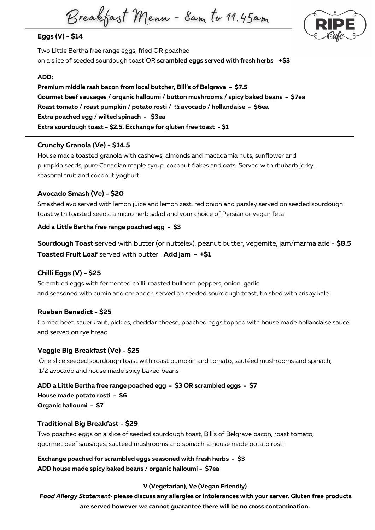Breakfast Menu - Sam to 11.45am

# **Eggs (V) - \$14**

Two Little Bertha free range eggs, fried OR poached on a slice of seeded sourdough toast OR **scrambled eggs served with fresh herbs +\$3**

### **ADD:**

**Premium middle rash bacon from local butcher, Bill's of Belgrave - \$7.5 Gourmet beef sausages / organic halloumi / button mushrooms / spicy baked beans - \$7ea Roast tomato / roast pumpkin / potato rosti / ½ avocado / hollandaise - \$6ea Extra poached egg / wilted spinach - \$3ea Extra sourdough toast - \$2.5. Exchange for gluten free toast - \$1**

### **Crunchy Granola (Ve) - \$14.5**

House made toasted granola with cashews, almonds and macadamia nuts, sunflower and pumpkin seeds, pure Canadian maple syrup, coconut flakes and oats. Served with rhubarb jerky, seasonal fruit and coconut yoghurt

# **Avocado Smash (Ve) - \$20**

Smashed avo served with lemon juice and lemon zest, red onion and parsley served on seeded sourdough toast with toasted seeds, a micro herb salad and your choice of Persian or vegan feta

## **Add a Little Bertha free range poached egg - \$3**

**Sourdough Toast** served with butter (or nuttelex), peanut butter, vegemite, jam/marmalade - **\$8.5 Toasted Fruit Loaf** served with butter **Add jam - +\$1**

# **Chilli Eggs (V) - \$25**

Scrambled eggs with fermented chilli. roasted bullhorn peppers, onion, garlic and seasoned with cumin and coriander, served on seeded sourdough toast, finished with crispy kale

### **Rueben Benedict - \$25**

Corned beef, sauerkraut, pickles, cheddar cheese, poached eggs topped with house made hollandaise sauce and served on rye bread

### **Veggie Big Breakfast (Ve) - \$25**

One slice seeded sourdough toast with roast pumpkin and tomato, sautéed mushrooms and spinach, 1/2 avocado and house made spicy baked beans

**ADD a Little Bertha free range poached egg - \$3 OR scrambled eggs - \$7 House made potato rosti - \$6 Organic halloumi - \$7**

### **Traditional Big Breakfast - \$29**

Two poached eggs on a slice of seeded sourdough toast, Bill's of Belgrave bacon, roast tomato, gourmet beef sausages, sauteed mushrooms and spinach, a house made potato rosti

**Exchange poached for scrambled eggs seasoned with fresh herbs - \$3 ADD house made spicy baked beans / organic halloumi - \$7ea**

### **V (Vegetarian), Ve (Vegan Friendly)**

*Food Allergy Statement:* **please discuss any allergies or intolerances with your server. Gluten free products are served however we cannot guarantee there will be no cross contamination.**